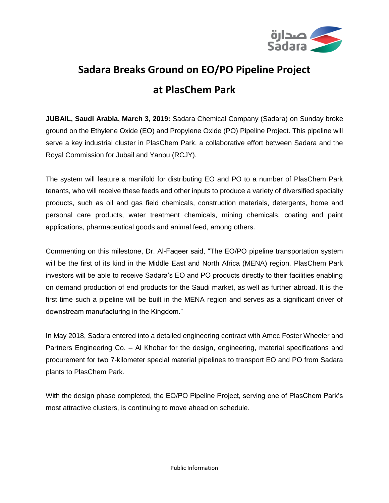

## **Sadara Breaks Ground on EO/PO Pipeline Project at PlasChem Park**

**JUBAIL, Saudi Arabia, March 3, 2019:** Sadara Chemical Company (Sadara) on Sunday broke ground on the Ethylene Oxide (EO) and Propylene Oxide (PO) Pipeline Project. This pipeline will serve a key industrial cluster in PlasChem Park, a collaborative effort between Sadara and the Royal Commission for Jubail and Yanbu (RCJY).

The system will feature a manifold for distributing EO and PO to a number of PlasChem Park tenants, who will receive these feeds and other inputs to produce a variety of diversified specialty products, such as oil and gas field chemicals, construction materials, detergents, home and personal care products, water treatment chemicals, mining chemicals, coating and paint applications, pharmaceutical goods and animal feed, among others.

Commenting on this milestone, Dr. Al-Faqeer said, "The EO/PO pipeline transportation system will be the first of its kind in the Middle East and North Africa (MENA) region. PlasChem Park investors will be able to receive Sadara's EO and PO products directly to their facilities enabling on demand production of end products for the Saudi market, as well as further abroad. It is the first time such a pipeline will be built in the MENA region and serves as a significant driver of downstream manufacturing in the Kingdom."

In May 2018, Sadara entered into a detailed engineering contract with Amec Foster Wheeler and Partners Engineering Co. – Al Khobar for the design, engineering, material specifications and procurement for two 7-kilometer special material pipelines to transport EO and PO from Sadara plants to PlasChem Park.

With the design phase completed, the EO/PO Pipeline Project, serving one of PlasChem Park's most attractive clusters, is continuing to move ahead on schedule.